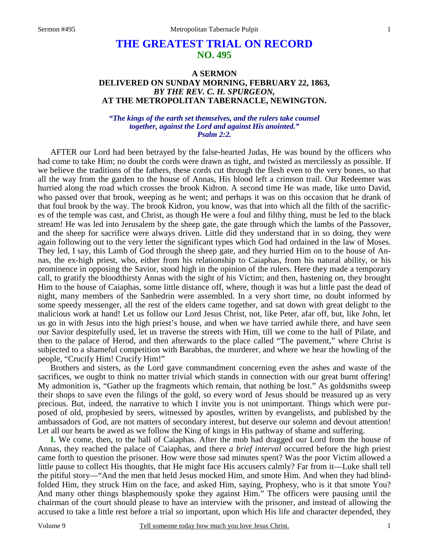## **THE GREATEST TRIAL ON RECORD NO. 495**

## **A SERMON DELIVERED ON SUNDAY MORNING, FEBRUARY 22, 1863,**  *BY THE REV. C. H. SPURGEON,*  **AT THE METROPOLITAN TABERNACLE, NEWINGTON.**

## *"The kings of the earth set themselves, and the rulers take counsel together, against the Lord and against His anointed." Psalm 2:2.*

AFTER our Lord had been betrayed by the false-hearted Judas, He was bound by the officers who had come to take Him; no doubt the cords were drawn as tight, and twisted as mercilessly as possible. If we believe the traditions of the fathers, these cords cut through the flesh even to the very bones, so that all the way from the garden to the house of Annas, His blood left a crimson trail. Our Redeemer was hurried along the road which crosses the brook Kidron. A second time He was made, like unto David, who passed over that brook, weeping as he went; and perhaps it was on this occasion that he drank of that foul brook by the way. The brook Kidron, you know, was that into which all the filth of the sacrifices of the temple was cast, and Christ, as though He were a foul and filthy thing, must be led to the black stream! He was led into Jerusalem by the sheep gate, the gate through which the lambs of the Passover, and the sheep for sacrifice were always driven. Little did they understand that in so doing, they were again following out to the very letter the significant types which God had ordained in the law of Moses. They led, I say, this Lamb of God through the sheep gate, and they hurried Him on to the house of Annas, the ex-high priest, who, either from his relationship to Caiaphas, from his natural ability, or his prominence in opposing the Savior, stood high in the opinion of the rulers. Here they made a temporary call, to gratify the bloodthirsty Annas with the sight of his Victim; and then, hastening on, they brought Him to the house of Caiaphas, some little distance off, where, though it was but a little past the dead of night, many members of the Sanhedrin were assembled. In a very short time, no doubt informed by some speedy messenger, all the rest of the elders came together, and sat down with great delight to the malicious work at hand! Let us follow our Lord Jesus Christ, not, like Peter, afar off, but, like John, let us go in with Jesus into the high priest's house, and when we have tarried awhile there, and have seen our Savior despitefully used, let us traverse the streets with Him, till we come to the hall of Pilate, and then to the palace of Herod, and then afterwards to the place called "The pavement," where Christ is subjected to a shameful competition with Barabbas, the murderer, and where we hear the howling of the people, "Crucify Him! Crucify Him!"

Brothers and sisters, as the Lord gave commandment concerning even the ashes and waste of the sacrifices, we ought to think no matter trivial which stands in connection with our great burnt offering! My admonition is, "Gather up the fragments which remain, that nothing be lost." As goldsmiths sweep their shops to save even the filings of the gold, so every word of Jesus should be treasured up as very precious. But, indeed, the narrative to which I invite you is not unimportant. Things which were purposed of old, prophesied by seers, witnessed by apostles, written by evangelists, and published by the ambassadors of God, are not matters of secondary interest, but deserve our solemn and devout attention! Let all our hearts be awed as we follow the King of kings in His pathway of shame and suffering.

**I.** We come, then, to the hall of Caiaphas. After the mob had dragged our Lord from the house of Annas, they reached the palace of Caiaphas, and there *a brief interval* occurred before the high priest came forth to question the prisoner. How were those sad minutes spent? Was the poor Victim allowed a little pause to collect His thoughts, that He might face His accusers calmly? Far from it—Luke shall tell the pitiful story—"And the men that held Jesus mocked Him, and smote Him. And when they had blindfolded Him, they struck Him on the face, and asked Him, saying, Prophesy, who is it that smote You? And many other things blasphemously spoke they against Him." The officers were pausing until the chairman of the court should please to have an interview with the prisoner, and instead of allowing the accused to take a little rest before a trial so important, upon which His life and character depended, they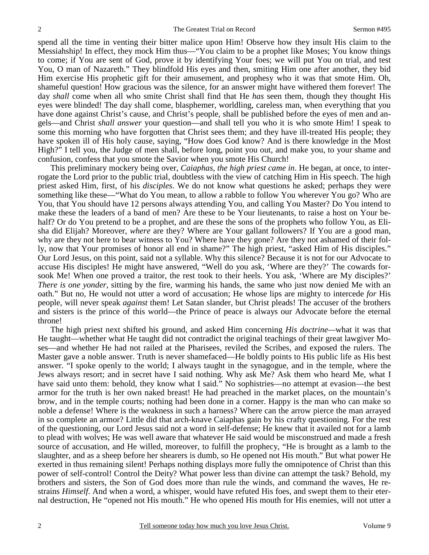spend all the time in venting their bitter malice upon Him! Observe how they insult His claim to the Messiahship! In effect, they mock Him thus—"You claim to be a prophet like Moses; You know things to come; if You are sent of God, prove it by identifying Your foes; we will put You on trial, and test You, O man of Nazareth." They blindfold His eyes and then, smiting Him one after another, they bid Him exercise His prophetic gift for their amusement, and prophesy who it was that smote Him. Oh, shameful question! How gracious was the silence, for an answer might have withered them forever! The day *shall* come when all who smite Christ shall find that He *has* seen them, though they thought His eyes were blinded! The day shall come, blasphemer, worldling, careless man, when everything that you have done against Christ's cause, and Christ's people, shall be published before the eyes of men and angels—and Christ *shall answer* your question—and shall tell you who it is who smote Him! I speak to some this morning who have forgotten that Christ sees them; and they have ill-treated His people; they have spoken ill of His holy cause, saying, "How does God know? And is there knowledge in the Most High?" I tell you, the Judge of men shall, before long, point you out, and make you, to your shame and confusion, confess that you smote the Savior when you smote His Church!

This preliminary mockery being over, *Caiaphas, the high priest came in*. He began, at once, to interrogate the Lord prior to the public trial, doubtless with the view of catching Him in His speech. The high priest asked Him, first, of his *disciples*. We do not know what questions he asked; perhaps they were something like these—"What do You mean, to allow a rabble to follow You wherever You go? Who are You, that You should have 12 persons always attending You, and calling You Master? Do You intend to make these the leaders of a band of men? Are these to be Your lieutenants, to raise a host on Your behalf? Or do You pretend to be a prophet, and are these the sons of the prophets who follow You, as Elisha did Elijah? Moreover, *where* are they? Where are Your gallant followers? If You are a good man, why are they not here to bear witness to You? Where have they gone? Are they not ashamed of their folly, now that Your promises of honor all end in shame?" The high priest, "asked Him of His disciples." Our Lord Jesus, on this point, said not a syllable. Why this silence? Because it is not for our Advocate to accuse His disciples! He might have answered, "Well do you ask, 'Where are they?' The cowards forsook Me! When one proved a traitor, the rest took to their heels. You ask, 'Where are My disciples?' *There is one yonder,* sitting by the fire, warming his hands, the same who just now denied Me with an oath." But no, He would not utter a word of accusation; He whose lips are mighty to intercede *for* His people, will never speak *against* them! Let Satan slander, but Christ pleads! The accuser of the brothers and sisters is the prince of this world—the Prince of peace is always our Advocate before the eternal throne!

The high priest next shifted his ground, and asked Him concerning *His doctrine—*what it was that He taught—whether what He taught did not contradict the original teachings of their great lawgiver Moses—and whether He had not railed at the Pharisees, reviled the Scribes, and exposed the rulers. The Master gave a noble answer. Truth is never shamefaced—He boldly points to His public life as His best answer. "I spoke openly to the world; I always taught in the synagogue, and in the temple, where the Jews always resort; and in secret have I said nothing. Why ask Me? Ask them who heard Me, what I have said unto them: behold, they know what I said." No sophistries—no attempt at evasion—the best armor for the truth is her own naked breast! He had preached in the market places, on the mountain's brow, and in the temple courts; nothing had been done in a corner. Happy is the man who can make so noble a defense! Where is the weakness in such a harness? Where can the arrow pierce the man arrayed in so complete an armor? Little did that arch-knave Caiaphas gain by his crafty questioning. For the rest of the questioning, our Lord Jesus said not a word in self-defense; He knew that it availed not for a lamb to plead with wolves; He was well aware that whatever He said would be misconstrued and made a fresh source of accusation, and He willed, moreover, to fulfill the prophecy, "He is brought as a lamb to the slaughter, and as a sheep before her shearers is dumb, so He opened not His mouth." But what power He exerted in thus remaining silent! Perhaps nothing displays more fully the omnipotence of Christ than this power of self-control! Control the Deity? What power less than divine can attempt the task? Behold, my brothers and sisters, the Son of God does more than rule the winds, and command the waves, He restrains *Himself*. And when a word, a whisper, would have refuted His foes, and swept them to their eternal destruction, He "opened not His mouth." He who opened His mouth for His enemies, will not utter a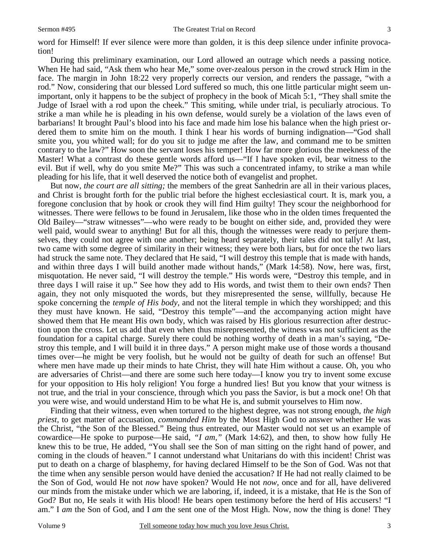word for Himself! If ever silence were more than golden, it is this deep silence under infinite provocation!

During this preliminary examination, our Lord allowed an outrage which needs a passing notice. When He had said, "Ask them who hear Me," some over-zealous person in the crowd struck Him in the face. The margin in John 18:22 very properly corrects our version, and renders the passage, "with a rod." Now, considering that our blessed Lord suffered so much, this one little particular might seem unimportant, only it happens to be the subject of prophecy in the book of Micah 5:1, "They shall smite the Judge of Israel with a rod upon the cheek." This smiting, while under trial, is peculiarly atrocious. To strike a man while he is pleading in his own defense, would surely be a violation of the laws even of barbarians! It brought Paul's blood into his face and made him lose his balance when the high priest ordered them to smite him on the mouth. I think I hear his words of burning indignation—"God shall smite you, you whited wall; for do you sit to judge me after the law, and command me to be smitten contrary to the law?" How soon the servant loses his temper! How far more glorious the meekness of the Master! What a contrast do these gentle words afford us—"If I have spoken evil, bear witness to the evil. But if well, why do you smite Me?" This was such a concentrated infamy, to strike a man while pleading for his life, that it well deserved the notice both of evangelist and prophet.

But now, *the court are all sitting;* the members of the great Sanhedrin are all in their various places, and Christ is brought forth for the public trial before the highest ecclesiastical court. It is, mark you, a foregone conclusion that by hook or crook they will find Him guilty! They scour the neighborhood for witnesses. There were fellows to be found in Jerusalem, like those who in the olden times frequented the Old Bailey—"straw witnesses"—who were ready to be bought on either side, and, provided they were well paid, would swear to anything! But for all this, though the witnesses were ready to perjure themselves, they could not agree with one another; being heard separately, their tales did not tally! At last, two came with some degree of similarity in their witness; they were both liars, but for once the two liars had struck the same note. They declared that He said, "I will destroy this temple that is made with hands, and within three days I will build another made without hands," (Mark 14:58). Now, here was, first, misquotation. He never said, "I will destroy the temple." His words were, "Destroy this temple, and in three days I will raise it up." See how they add to His words, and twist them to their own ends? Then again, they not only misquoted the words, but they misrepresented the sense, willfully, because He spoke concerning the *temple of His body,* and not the literal temple in which they worshipped; and this they must have known. He said, "Destroy this temple"—and the accompanying action might have showed them that He meant His own body, which was raised by His glorious resurrection after destruction upon the cross. Let us add that even when thus misrepresented, the witness was not sufficient as the foundation for a capital charge. Surely there could be nothing worthy of death in a man's saying, "Destroy this temple, and I will build it in three days." A person might make use of those words a thousand times over—he might be very foolish, but he would not be guilty of death for such an offense! But where men have made up their minds to hate Christ, they will hate Him without a cause. Oh, you who are adversaries of Christ—and there are some such here today—I know you try to invent some excuse for your opposition to His holy religion! You forge a hundred lies! But you know that your witness is not true, and the trial in your conscience, through which you pass the Savior, is but a mock one! Oh that you were wise, and would understand Him to be what He is, and submit yourselves to Him now.

Finding that their witness, even when tortured to the highest degree, was not strong enough, *the high priest,* to get matter of accusation, *commanded Him* by the Most High God to answer whether He was the Christ, "the Son of the Blessed." Being thus entreated, our Master would not set us an example of cowardice—He spoke to purpose—He said, *"I am,"* (Mark 14:62), and then, to show how fully He knew this to be true, He added, "You shall see the Son of man sitting on the right hand of power, and coming in the clouds of heaven." I cannot understand what Unitarians do with this incident! Christ was put to death on a charge of blasphemy, for having declared Himself to be the Son of God. Was not that the time when any sensible person would have denied the accusation? If He had not really claimed to be the Son of God, would He not *now* have spoken? Would He not *now*, once and for all, have delivered our minds from the mistake under which we are laboring, if, indeed, it is a mistake, that He is the Son of God? But no, He seals it with His blood! He bears open testimony before the herd of His accusers! "I am." I *am* the Son of God, and I *am* the sent one of the Most High. Now, now the thing is done! They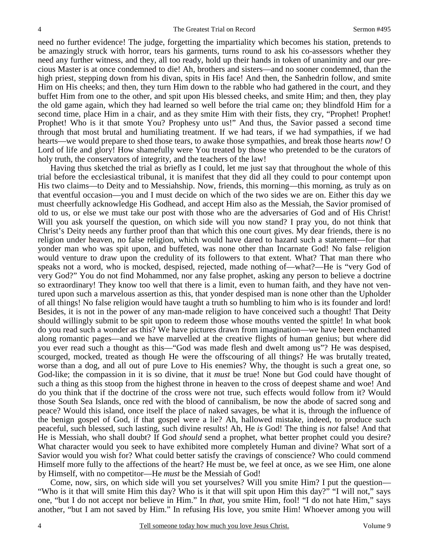need no further evidence! The judge, forgetting the impartiality which becomes his station, pretends to be amazingly struck with horror, tears his garments, turns round to ask his co-assessors whether they need any further witness, and they, all too ready, hold up their hands in token of unanimity and our precious Master is at once condemned to die! Ah, brothers and sisters—and no sooner condemned, than the high priest, stepping down from his divan, spits in His face! And then, the Sanhedrin follow, and smite Him on His cheeks; and then, they turn Him down to the rabble who had gathered in the court, and they buffet Him from one to the other, and spit upon His blessed cheeks, and smite Him; and then, they play the old game again, which they had learned so well before the trial came on; they blindfold Him for a second time, place Him in a chair, and as they smite Him with their fists, they cry, "Prophet! Prophet! Prophet! Who is it that smote You? Prophesy unto us!" And thus, the Savior passed a second time through that most brutal and humiliating treatment. If we had tears, if we had sympathies, if we had hearts—we would prepare to shed those tears, to awake those sympathies, and break those hearts *now!* O Lord of life and glory! How shamefully were You treated by those who pretended to be the curators of holy truth, the conservators of integrity, and the teachers of the law!

Having thus sketched the trial as briefly as I could, let me just say that throughout the whole of this trial before the ecclesiastical tribunal, it is manifest that they did all they could to pour contempt upon His two claims—to Deity and to Messiahship. Now, friends, this morning—this morning, as truly as on that eventful occasion—you and I must decide on which of the two sides we are on. Either this day we must cheerfully acknowledge His Godhead, and accept Him also as the Messiah, the Savior promised of old to us, or else we must take our post with those who are the adversaries of God and of His Christ! Will you ask yourself the question, on which side will you now stand? I pray you, do not think that Christ's Deity needs any further proof than that which this one court gives. My dear friends, there is no religion under heaven, no false religion, which would have dared to hazard such a statement—for that yonder man who was spit upon, and buffeted, was none other than Incarnate God! No false religion would venture to draw upon the credulity of its followers to that extent. What? That man there who speaks not a word, who is mocked, despised, rejected, made nothing of—what?—He is "very God of very God?" You do not find Mohammed, nor any false prophet, asking any person to believe a doctrine so extraordinary! They know too well that there is a limit, even to human faith, and they have not ventured upon such a marvelous assertion as this, that yonder despised man is none other than the Upholder of all things! No false religion would have taught a truth so humbling to him who is its founder and lord! Besides, it is not in the power of any man-made religion to have conceived such a thought! That Deity should willingly submit to be spit upon to redeem those whose mouths vented the spittle! In what book do you read such a wonder as this? We have pictures drawn from imagination—we have been enchanted along romantic pages—and we have marvelled at the creative flights of human genius; but where did you ever read such a thought as this—"God was made flesh and dwelt among us"? He was despised, scourged, mocked, treated as though He were the offscouring of all things? He was brutally treated, worse than a dog, and all out of pure Love to His enemies? Why, the thought is such a great one, so God-like; the compassion in it is so divine, that it *must* be true! None but God could have thought of such a thing as this stoop from the highest throne in heaven to the cross of deepest shame and woe! And do you think that if the doctrine of the cross were not true, such effects would follow from it? Would those South Sea Islands, once red with the blood of cannibalism, be now the abode of sacred song and peace? Would this island, once itself the place of naked savages, be what it is, through the influence of the benign gospel of God, if that gospel were a lie? Ah, hallowed mistake, indeed, to produce such peaceful, such blessed, such lasting, such divine results! Ah, He *is* God! The thing is *not* false! And that He is Messiah, who shall doubt? If God *should* send a prophet, what better prophet could you desire? What character would you seek to have exhibited more completely Human and divine? What sort of a Savior would you wish for? What could better satisfy the cravings of conscience? Who could commend Himself more fully to the affections of the heart? He must be, we feel at once, as we see Him, one alone by Himself, with no competitor—He *must* be the Messiah of God!

Come, now, sirs, on which side will you set yourselves? Will you smite Him? I put the question— "Who is it that will smite Him this day? Who is it that will spit upon Him this day?" "I will not," says one, "but I do not accept nor believe in Him." In *that,* you smite Him, fool! "I do not hate Him," says another, "but I am not saved by Him." In refusing His love, you smite Him! Whoever among you will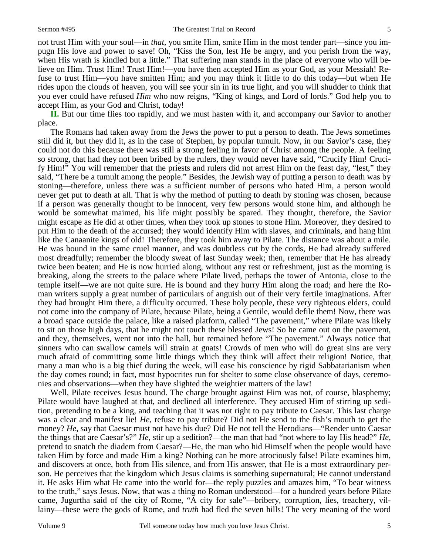not trust Him with your soul—in *that,* you smite Him, smite Him in the most tender part—since you impugn His love and power to save! Oh, "Kiss the Son, lest He be angry, and you perish from the way, when His wrath is kindled but a little." That suffering man stands in the place of everyone who will believe on Him. Trust Him! Trust Him!—you have then accepted Him as your God, as your Messiah! Refuse to trust Him—you have smitten Him; and you may think it little to do this today—but when He rides upon the clouds of heaven, you will see your sin in its true light, and you will shudder to think that you ever could have refused *Him* who now reigns, "King of kings, and Lord of lords." God help you to accept Him, as your God and Christ, today!

**II.** But our time flies too rapidly, and we must hasten with it, and accompany our Savior to another place.

The Romans had taken away from the Jews the power to put a person to death. The Jews sometimes still did it, but they did it, as in the case of Stephen, by popular tumult. Now, in our Savior's case, they could not do this because there was still a strong feeling in favor of Christ among the people. A feeling so strong, that had they not been bribed by the rulers, they would never have said, "Crucify Him! Crucify Him!" You will remember that the priests and rulers did not arrest Him on the feast day, "lest," they said, "There be a tumult among the people." Besides, the Jewish way of putting a person to death was by stoning—therefore, unless there was a sufficient number of persons who hated Him, a person would never get put to death at all. That is why the method of putting to death by stoning was chosen, because if a person was generally thought to be innocent, very few persons would stone him, and although he would be somewhat maimed, his life might possibly be spared. They thought, therefore, the Savior might escape as He did at other times, when they took up stones to stone Him. Moreover, they desired to put Him to the death of the accursed; they would identify Him with slaves, and criminals, and hang him like the Canaanite kings of old! Therefore, they took him away to Pilate. The distance was about a mile. He was bound in the same cruel manner, and was doubtless cut by the cords, He had already suffered most dreadfully; remember the bloody sweat of last Sunday week; then, remember that He has already twice been beaten; and He is now hurried along, without any rest or refreshment, just as the morning is breaking, along the streets to the palace where Pilate lived, perhaps the tower of Antonia, close to the temple itself—we are not quite sure. He is bound and they hurry Him along the road; and here the Roman writers supply a great number of particulars of anguish out of their very fertile imaginations. After they had brought Him there, a difficulty occurred. These holy people, these very righteous elders, could not come into the company of Pilate, because Pilate, being a Gentile, would defile them! Now, there was a broad space outside the palace, like a raised platform, called "The pavement," where Pilate was likely to sit on those high days, that he might not touch these blessed Jews! So he came out on the pavement, and they, themselves, went not into the hall, but remained before "The pavement." Always notice that sinners who can swallow camels will strain at gnats! Crowds of men who will do great sins are very much afraid of committing some little things which they think will affect their religion! Notice, that many a man who is a big thief during the week, will ease his conscience by rigid Sabbatarianism when the day comes round; in fact, most hypocrites run for shelter to some close observance of days, ceremonies and observations—when they have slighted the weightier matters of the law!

Well, Pilate receives Jesus bound. The charge brought against Him was not, of course, blasphemy; Pilate would have laughed at that, and declined all interference. They accused Him of stirring up sedition, pretending to be a king, and teaching that it was not right to pay tribute to Caesar. This last charge was a clear and manifest lie! *He,* refuse to pay tribute? Did not He send to the fish's mouth to get the money? He, say that Caesar must not have his due? Did He not tell the Herodians—"Render unto Caesar the things that are Caesar's?" *He,* stir up a sedition?—the man that had "not where to lay His head?" *He,*  pretend to snatch the diadem from Caesar?—He, the man who hid Himself when the people would have taken Him by force and made Him a king? Nothing can be more atrociously false! Pilate examines him, and discovers at once, both from His silence, and from His answer, that He is a most extraordinary person. He perceives that the kingdom which Jesus claims is something supernatural; He cannot understand it. He asks Him what He came into the world for—the reply puzzles and amazes him, "To bear witness to the truth," says Jesus. Now, that was a thing no Roman understood—for a hundred years before Pilate came, Jugurtha said of the city of Rome, "A city for sale"—bribery, corruption, lies, treachery, villainy—these were the gods of Rome, and *truth* had fled the seven hills! The very meaning of the word

5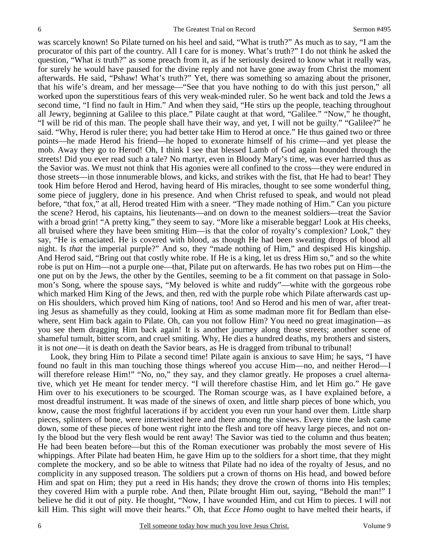was scarcely known! So Pilate turned on his heel and said, "What is truth?" As much as to say, "I am the procurator of this part of the country. All I care for is money. What's truth?" I do not think he asked the question, "What *is* truth?" as some preach from it, as if he seriously desired to know what it really was, for surely he would have paused for the divine reply and not have gone away from Christ the moment afterwards. He said, "Pshaw! What's truth?" Yet, there was something so amazing about the prisoner, that his wife's dream, and her message—"See that you have nothing to do with this just person," all worked upon the superstitious fears of this very weak-minded ruler. So he went back and told the Jews a second time, "I find no fault in Him." And when they said, "He stirs up the people, teaching throughout all Jewry, beginning at Galilee to this place." Pilate caught at that word, "Galilee." "Now," he thought, "I will be rid of this man. The people shall have their way, and yet, I will not be guilty." "Galilee?" he said. "Why, Herod is ruler there; you had better take Him to Herod at once." He thus gained two or three points—he made Herod his friend—he hoped to exonerate himself of his crime—and yet please the mob. Away they go to Herod! Oh, I think I see that blessed Lamb of God again hounded through the streets! Did you ever read such a tale? No martyr, even in Bloody Mary's time, was ever harried thus as the Savior was. We must not think that His agonies were all confined to the cross—they were endured in those streets—in those innumerable blows, and kicks, and strikes with the fist, that He had to bear! They took Him before Herod and Herod, having heard of His miracles, thought to see some wonderful thing, some piece of jugglery, done in his presence. And when Christ refused to speak, and would not plead before, "that fox," at all, Herod treated Him with a sneer. "They made nothing of Him." Can you picture the scene? Herod, his captains, his lieutenants—and on down to the meanest soldiers—treat the Savior with a broad grin! "A pretty king," they seem to say. "More like a miserable beggar! Look at His cheeks, all bruised where they have been smiting Him—is that the color of royalty's complexion? Look," they say, "He is emaciated. He is covered with blood, as though He had been sweating drops of blood all night. Is *that* the imperial purple?" And so, they "made nothing of Him," and despised His kingship. And Herod said, "Bring out that costly white robe. If He is a king, let us dress Him so," and so the white robe is put on Him—not a purple one—that, Pilate put on afterwards. He has two robes put on Him—the one put on by the Jews, the other by the Gentiles, seeming to be a fit comment on that passage in Solomon's Song, where the spouse says, "My beloved is white and ruddy"—white with the gorgeous robe which marked Him King of the Jews, and then, red with the purple robe which Pilate afterwards cast upon His shoulders, which proved him King of nations, too! And so Herod and his men of war, after treating Jesus as shamefully as they could, looking at Him as some madman more fit for Bedlam than elsewhere, sent Him back again to Pilate. Oh, can you not follow Him? You need no great imagination—as you see them dragging Him back again! It is another journey along those streets; another scene of shameful tumult, bitter scorn, and cruel smiting. Why, He dies a hundred deaths, my brothers and sisters, it is not *one*—it is death on death the Savior bears, as He is dragged from tribunal to tribunal!

Look, they bring Him to Pilate a second time! Pilate again is anxious to save Him; he says, "I have found no fault in this man touching those things whereof you accuse Him—no, and neither Herod—I will therefore release Him!" "No, no," they say, and they clamor greatly. He proposes a cruel alternative, which yet He meant for tender mercy. "I will therefore chastise Him, and let Him go." He gave Him over to his executioners to be scourged. The Roman scourge was, as I have explained before, a most dreadful instrument. It was made of the sinews of oxen, and little sharp pieces of bone which, you know, cause the most frightful lacerations if by accident you even run your hand over them. Little sharp pieces, splinters of bone, were intertwisted here and there among the sinews. Every time the lash came down, some of these pieces of bone went right into the flesh and tore off heavy large pieces, and not only the blood but the very flesh would be rent away! The Savior was tied to the column and thus beaten; He had been beaten before—but this of the Roman executioner was probably the most severe of His whippings. After Pilate had beaten Him, he gave Him up to the soldiers for a short time, that they might complete the mockery, and so be able to witness that Pilate had no idea of the royalty of Jesus, and no complicity in any supposed treason. The soldiers put a crown of thorns on His head, and bowed before Him and spat on Him; they put a reed in His hands; they drove the crown of thorns into His temples; they covered Him with a purple robe. And then, Pilate brought Him out, saying, "Behold the man!" I believe he did it out of pity. He thought, "Now, I have wounded Him, and cut Him to pieces. I will not kill Him. This sight will move their hearts." Oh, that *Ecce Homo* ought to have melted their hearts, if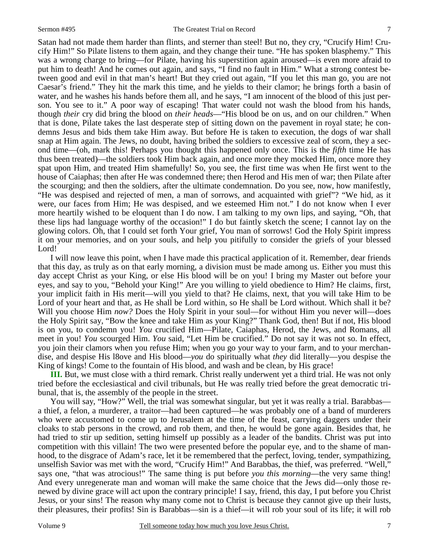Satan had not made them harder than flints, and sterner than steel! But no, they cry, "Crucify Him! Crucify Him!" So Pilate listens to them again, and they change their tune. "He has spoken blasphemy." This was a wrong charge to bring—for Pilate, having his superstition again aroused—is even more afraid to put him to death! And he comes out again, and says, "I find no fault in Him." What a strong contest between good and evil in that man's heart! But they cried out again, "If you let this man go, you are not Caesar's friend." They hit the mark this time, and he yields to their clamor; he brings forth a basin of water, and he washes his hands before them all, and he says, "I am innocent of the blood of this just person. You see to it." A poor way of escaping! That water could not wash the blood from his hands, though *their* cry did bring the blood on *their heads*—"His blood be on us, and on our children." When that is done, Pilate takes the last desperate step of sitting down on the pavement in royal state; he condemns Jesus and bids them take Him away. But before He is taken to execution, the dogs of war shall snap at Him again. The Jews, no doubt, having bribed the soldiers to excessive zeal of scorn, they a second time—(oh, mark this! Perhaps you thought this happened only once. This is the *fifth* time He has thus been treated)—the soldiers took Him back again, and once more they mocked Him, once more they spat upon Him, and treated Him shamefully! So, you see, the first time was when He first went to the house of Caiaphas; then after He was condemned there; then Herod and His men of war; then Pilate after the scourging; and then the soldiers, after the ultimate condemnation. Do you see, now, how manifestly, "He was despised and rejected of men, a man of sorrows, and acquainted with grief"? "We hid, as it were, our faces from Him; He was despised, and we esteemed Him not." I do not know when I ever more heartily wished to be eloquent than I do now. I am talking to my own lips, and saying, "Oh, that these lips had language worthy of the occasion!" I do but faintly sketch the scene; I cannot lay on the glowing colors. Oh, that I could set forth Your grief, You man of sorrows! God the Holy Spirit impress it on your memories, and on your souls, and help you pitifully to consider the griefs of your blessed Lord!

I will now leave this point, when I have made this practical application of it. Remember, dear friends that this day, as truly as on that early morning, a division must be made among us. Either you must this day accept Christ as your King, or else His blood will be on you! I bring my Master out before your eyes, and say to you, "Behold your King!" Are you willing to yield obedience to Him? He claims, first, your implicit faith in His merit—will you yield to that? He claims, next, that you will take Him to be Lord of your heart and that, as He shall be Lord within, so He shall be Lord without. Which shall it be? Will you choose Him *now?* Does the Holy Spirit in your soul—for without Him you never will—does the Holy Spirit say, "Bow the knee and take Him as your King?" Thank God, then! But if not, His blood is on you, to condemn you! *You* crucified Him—Pilate, Caiaphas, Herod, the Jews, and Romans, all meet in you! *You* scourged Him. *You* said, "Let Him be crucified." Do not say it was not so. In effect, you join their clamors when you refuse Him; when you go your way to your farm, and to your merchandise, and despise His l8ove and His blood—*you* do spiritually what *they* did literally—you despise the King of kings! Come to the fountain of His blood, and wash and be clean, by His grace!

**III.** But, we must close with a third remark. Christ really underwent yet a third trial. He was not only tried before the ecclesiastical and civil tribunals, but He was really tried before the great democratic tribunal, that is, the assembly of the people in the street.

You will say, "How?" Well, the trial was somewhat singular, but yet it was really a trial. Barabbas a thief, a felon, a murderer, a traitor—had been captured—he was probably one of a band of murderers who were accustomed to come up to Jerusalem at the time of the feast, carrying daggers under their cloaks to stab persons in the crowd, and rob them, and then, he would be gone again. Besides that, he had tried to stir up sedition, setting himself up possibly as a leader of the bandits. Christ was put into competition with this villain! The two were presented before the popular eye, and to the shame of manhood, to the disgrace of Adam's race, let it be remembered that the perfect, loving, tender, sympathizing, unselfish Savior was met with the word, "Crucify Him!" And Barabbas, the thief, was preferred. "Well," says one, "that was atrocious!" The same thing is put before *you this morning*—the very same thing! And every unregenerate man and woman will make the same choice that the Jews did—only those renewed by divine grace will act upon the contrary principle! I say, friend, this day, I put before you Christ Jesus, or your sins! The reason why many come not to Christ is because they cannot give up their lusts, their pleasures, their profits! Sin is Barabbas—sin is a thief—it will rob your soul of its life; it will rob